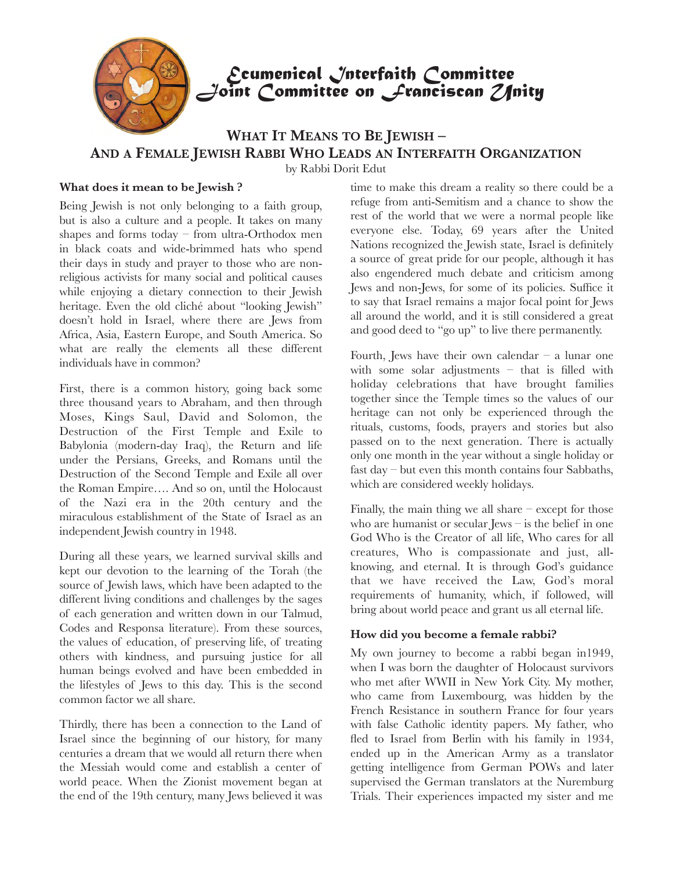

# *Ecumenical Interfaith Committee Joint Committee on Franciscan Unity*

# **WHAT IT MEANS TO BE JEWISH – AND A FEMALE JEWISH RABBI WHO LEADS AN INTERFAITH ORGANIZATION**

by Rabbi Dorit Edut

## **What does it mean to be Jewish ?**

Being Jewish is not only belonging to a faith group, but is also a culture and a people. It takes on many shapes and forms today – from ultra-Orthodox men in black coats and wide-brimmed hats who spend their days in study and prayer to those who are nonreligious activists for many social and political causes while enjoying a dietary connection to their Jewish heritage. Even the old cliché about "looking Jewish" doesn't hold in Israel, where there are Jews from Africa, Asia, Eastern Europe, and South America. So what are really the elements all these different individuals have in common?

First, there is a common history, going back some three thousand years to Abraham, and then through Moses, Kings Saul, David and Solomon, the Destruction of the First Temple and Exile to Babylonia (modern-day Iraq), the Return and life under the Persians, Greeks, and Romans until the Destruction of the Second Temple and Exile all over the Roman Empire…. And so on, until the Holocaust of the Nazi era in the 20th century and the miraculous establishment of the State of Israel as an independent Jewish country in 1948.

During all these years, we learned survival skills and kept our devotion to the learning of the Torah (the source of Jewish laws, which have been adapted to the different living conditions and challenges by the sages of each generation and written down in our Talmud, Codes and Responsa literature). From these sources, the values of education, of preserving life, of treating others with kindness, and pursuing justice for all human beings evolved and have been embedded in the lifestyles of Jews to this day. This is the second common factor we all share.

Thirdly, there has been a connection to the Land of Israel since the beginning of our history, for many centuries a dream that we would all return there when the Messiah would come and establish a center of world peace. When the Zionist movement began at the end of the 19th century, many Jews believed it was

time to make this dream a reality so there could be a refuge from anti-Semitism and a chance to show the rest of the world that we were a normal people like everyone else. Today, 69 years after the United Nations recognized the Jewish state, Israel is definitely a source of great pride for our people, although it has also engendered much debate and criticism among Jews and non-Jews, for some of its policies. Suffice it to say that Israel remains a major focal point for Jews all around the world, and it is still considered a great and good deed to "go up" to live there permanently.

Fourth, Jews have their own calendar – a lunar one with some solar adjustments – that is filled with holiday celebrations that have brought families together since the Temple times so the values of our heritage can not only be experienced through the rituals, customs, foods, prayers and stories but also passed on to the next generation. There is actually only one month in the year without a single holiday or fast day – but even this month contains four Sabbaths, which are considered weekly holidays.

Finally, the main thing we all share  $-$  except for those who are humanist or secular Jews – is the belief in one God Who is the Creator of all life, Who cares for all creatures, Who is compassionate and just, allknowing, and eternal. It is through God's guidance that we have received the Law, God's moral requirements of humanity, which, if followed, will bring about world peace and grant us all eternal life.

### **How did you become a female rabbi?**

My own journey to become a rabbi began in1949, when I was born the daughter of Holocaust survivors who met after WWII in New York City. My mother, who came from Luxembourg, was hidden by the French Resistance in southern France for four years with false Catholic identity papers. My father, who fled to Israel from Berlin with his family in 1934, ended up in the American Army as a translator getting intelligence from German POWs and later supervised the German translators at the Nuremburg Trials. Their experiences impacted my sister and me